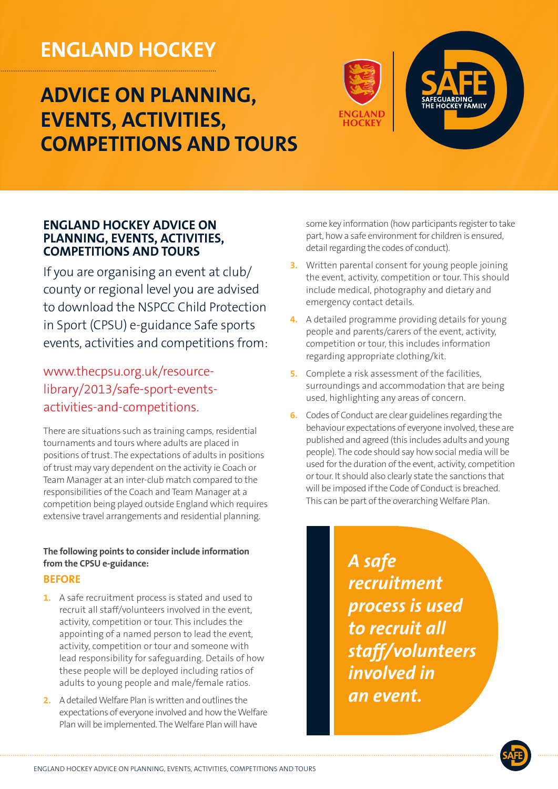# **ENGLAND HOCKEY**

# **ADVICE ON PLANNING, EVENTS, ACTIVITIES, COMPETITIONS AND TOURS**



## **ENGLAND HOCKEY ADVICE ON PLANNING, EVENTS, ACTIVITIES, COMPETITIONS AND TOURS**

If you are organising an event at  $club/$ county or regional level you are advised to download the NSPCC Child Protection in Sport (CPSU) e-guidance Safe sports events, activities and competitions from:

activities-and-competitions. library/2013/safe-sport-eventswww.thecpsu.org.uk/resource-

There are situations such as training camps, residential tournaments and tours where adults are placed in positions of trust. The expectations of adults in positions of trust may vary dependent on the activity ie Coach or Team Manager at an inter-club match compared to the responsibilities of the Coach and Team Manager at a competition being played outside England which requires extensive travel arrangements and residential planning.

### The following points to consider include information from the CPSU e-guidance:

## **BEFORE**

- 1. A safe recruitment process is stated and used to recruit all staff/volunteers involved in the event, activity, competition or tour. This includes the appointing of a named person to lead the event, activity, competition or tour and someone with lead responsibility for safeguarding. Details of how these people will be deployed including ratios of adults to young people and male/female ratios.
- **2.** A detailed Welfare Plan is written and outlines the expectations of everyone involved and how the Welfare Plan will be implemented. The Welfare Plan will have

some key information (how participants register to take part, how a safe environment for children is ensured, detail regarding the codes of conduct).

- **3.** Written parental consent for young people joining the event, activity, competition or tour. This should include medical, photography and dietary and emergency contact details.
- 4. A detailed programme providing details for young people and parents/carers of the event, activity, competition or tour, this includes information regarding appropriate clothing/kit.
- 5. Complete a risk assessment of the facilities, surroundings and accommodation that are being used, highlighting any areas of concern.
- **6.** Codes of Conduct are clear guidelines regarding the behaviour expectations of everyone involved, these are published and agreed (this includes adults and young people). The code should say how social media will be used for the duration of the event, activity, competition or tour. It should also clearly state the sanctions that will be imposed if the Code of Conduct is breached. This can be part of the overarching Welfare Plan.

A safe  *recruitment* **process** is used *to recruit all* staff/volunteers  *in involved .event an*